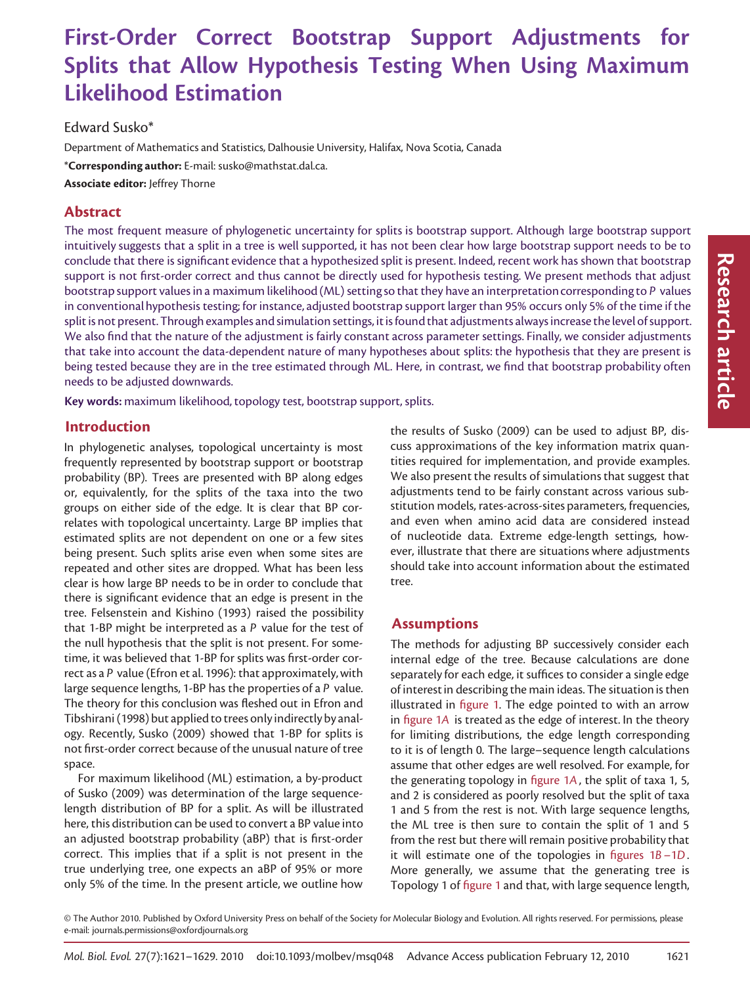# **First-Order Correct Bootstrap Support Adjustments for Splits that Allow Hypothesis Testing When Using Maximum Likelihood Estimation**

# Edward Susko\*

Department of Mathematics and Statistics, Dalhousie University, Halifax, Nova Scotia, Canada

\***Corresponding author:** E-mail: susko@mathstat.dal.ca.

**Associate editor:** Jeffrey Thorne

# **Abstract**

The most frequent measure of phylogenetic uncertainty for splits is bootstrap support. Although large bootstrap support intuitively suggests that a split in a tree is well supported, it has not been clear how large bootstrap support needs to be to conclude that there is significant evidence that a hypothesized split is present. Indeed, recent work has shown that bootstrap support is not first-order correct and thus cannot be directly used for hypothesis testing. We present methods that adjust bootstrap support values in a maximum likelihood (ML) setting so that they have an interpretationcorresponding to *P* values in conventional hypothesis testing; for instance, adjusted bootstrap support larger than 95% occurs only 5% of the time if the split is not present. Through examples and simulation settings, it is found that adjustments always increase the level of support. We also find that the nature of the adjustment is fairly constant across parameter settings. Finally, we consider adjustments that take into account the data-dependent nature of many hypotheses about splits: the hypothesis that they are present is being tested because they are in the tree estimated through ML. Here, in contrast, we find that bootstrap probability often needs to be adjusted downwards.

**Key words:** maximum likelihood, topology test, bootstrap support, splits.

# **Introduction**

In phylogenetic analyses, topological uncertainty is most frequently represented by bootstrap support or bootstrap probability (BP). Trees are presented with BP along edges or, equivalently, for the splits of the taxa into the two groups on either side of the edge. It is clear that BP correlates with topological uncertainty. Large BP implies that estimated splits are not dependent on one or a few sites being present. Such splits arise even when some sites are repeated and other sites are dropped. What has been less clear is how large BP needs to be in order to conclude that there is significant evidence that an edge is present in the tree. Felsenstein and Kishino (1993) raised the possibility that 1-BP might be interpreted as a *P* value for the test of the null hypothesis that the split is not present. For sometime, it was believed that 1-BP for splits was first-order correct as a *P* value (Efron et al. 1996): that approximately,with large sequence lengths, 1-BP has the properties of a *P* value. The theory for this conclusion was fleshed out in Efron and Tibshirani (1998) but applied to trees only indirectly by analogy. Recently, Susko (2009) showed that 1-BP for splits is not first-order correct because of the unusual nature of tree space.

For maximum likelihood (ML) estimation, a by-product of Susko (2009) was determination of the large sequencelength distribution of BP for a split. As will be illustrated here, this distribution can be used to convert a BP value into an adjusted bootstrap probability (aBP) that is first-order correct. This implies that if a split is not present in the true underlying tree, one expects an aBP of 95% or more only 5% of the time. In the present article, we outline how the results of Susko (2009) can be used to adjust BP, discuss approximations of the key information matrix quantities required for implementation, and provide examples. We also present the results of simulations that suggest that adjustments tend to be fairly constant across various substitution models, rates-across-sites parameters, frequencies, and even when amino acid data are considered instead of nucleotide data. Extreme edge-length settings, however, illustrate that there are situations where adjustments should take into account information about the estimated tree.

# **Assumptions**

The methods for adjusting BP successively consider each internal edge of the tree. Because calculations are done separately for each edge, it suffices to consider a single edge of interest in describing the main ideas. The situation is then illustrated in figure 1. The edge pointed to with an arrow in figure 1*A* is treated as the edge of interest. In the theory for limiting distributions, the edge length corresponding to it is of length 0. The large–sequence length calculations assume that other edges are well resolved. For example, for the generating topology in figure 1*A*, the split of taxa 1, 5, and 2 is considered as poorly resolved but the split of taxa 1 and 5 from the rest is not. With large sequence lengths, the ML tree is then sure to contain the split of 1 and 5 from the rest but there will remain positive probability that it will estimate one of the topologies in figures 1*B* –1*D*. More generally, we assume that the generating tree is Topology 1 of figure 1 and that, with large sequence length,

<sup>©</sup> The Author 2010. Published by Oxford University Press on behalf of the Society for Molecular Biology and Evolution. All rights reserved. For permissions, please e-mail: journals.permissions@oxfordjournals.org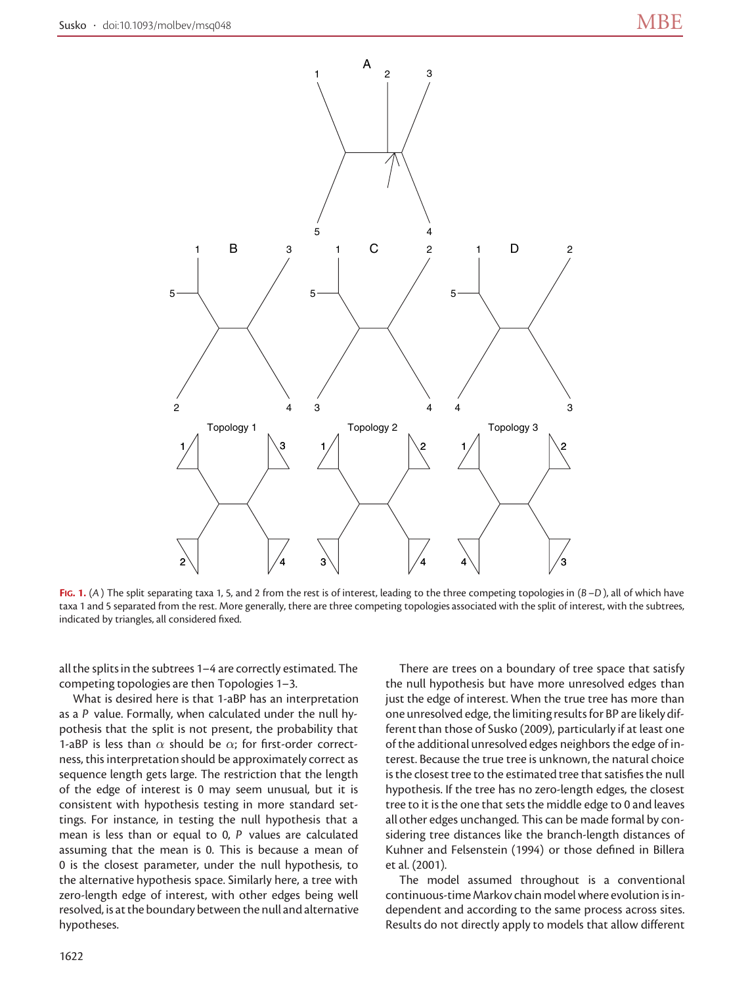

**FIG. 1.** (*A*) The split separating taxa 1, 5, and 2 from the rest is of interest, leading to the three competing topologies in (*B* –*D*), all of which have taxa 1 and 5 separated from the rest. More generally, there are three competing topologies associated with the split of interest, with the subtrees, indicated by triangles, all considered fixed.

all the splits in the subtrees 1–4 are correctly estimated. The competing topologies are then Topologies 1–3.

What is desired here is that 1-aBP has an interpretation as a *P* value. Formally, when calculated under the null hypothesis that the split is not present, the probability that 1-aBP is less than  $\alpha$  should be  $\alpha$ ; for first-order correctness, this interpretation should be approximately correct as sequence length gets large. The restriction that the length of the edge of interest is 0 may seem unusual, but it is consistent with hypothesis testing in more standard settings. For instance, in testing the null hypothesis that a mean is less than or equal to 0, *P* values are calculated assuming that the mean is 0. This is because a mean of 0 is the closest parameter, under the null hypothesis, to the alternative hypothesis space. Similarly here, a tree with zero-length edge of interest, with other edges being well resolved, is at the boundary between the null and alternative hypotheses.

There are trees on a boundary of tree space that satisfy the null hypothesis but have more unresolved edges than just the edge of interest. When the true tree has more than one unresolved edge, the limiting results for BP are likely different than those of Susko (2009), particularly if at least one of the additional unresolved edges neighbors the edge of interest. Because the true tree is unknown, the natural choice is the closest tree to the estimated tree that satisfies the null hypothesis. If the tree has no zero-length edges, the closest tree to it is the one that sets the middle edge to 0 and leaves all other edges unchanged. This can be made formal by considering tree distances like the branch-length distances of Kuhner and Felsenstein (1994) or those defined in Billera et al. (2001).

The model assumed throughout is a conventional continuous-time Markov chain model where evolution is independent and according to the same process across sites. Results do not directly apply to models that allow different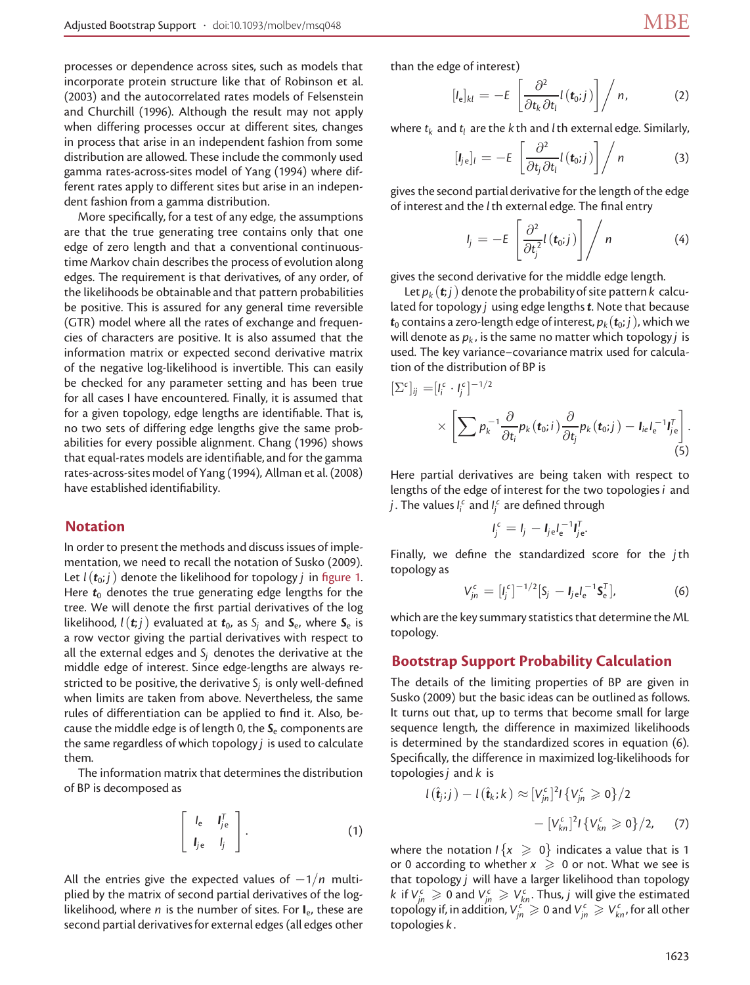processes or dependence across sites, such as models that incorporate protein structure like that of Robinson et al. (2003) and the autocorrelated rates models of Felsenstein and Churchill (1996). Although the result may not apply when differing processes occur at different sites, changes in process that arise in an independent fashion from some distribution are allowed. These include the commonly used gamma rates-across-sites model of Yang (1994) where different rates apply to different sites but arise in an independent fashion from a gamma distribution.

More specifically, for a test of any edge, the assumptions are that the true generating tree contains only that one edge of zero length and that a conventional continuoustime Markov chain describes the process of evolution along edges. The requirement is that derivatives, of any order, of the likelihoods be obtainable and that pattern probabilities be positive. This is assured for any general time reversible (GTR) model where all the rates of exchange and frequencies of characters are positive. It is also assumed that the information matrix or expected second derivative matrix of the negative log-likelihood is invertible. This can easily be checked for any parameter setting and has been true for all cases I have encountered. Finally, it is assumed that for a given topology, edge lengths are identifiable. That is, no two sets of differing edge lengths give the same probabilities for every possible alignment. Chang (1996) shows that equal-rates models are identifiable, and for the gamma rates-across-sites model of Yang (1994), Allman et al. (2008) have established identifiability.

#### **Notation**

In order to present the methods and discuss issues of implementation, we need to recall the notation of Susko (2009). Let  $l(\mathbf{t}_{0} ; j)$  denote the likelihood for topology *j* in figure 1. Here  $t_0$  denotes the true generating edge lengths for the tree. We will denote the first partial derivatives of the log likelihood,  $l(\mathbf{t}; j)$  evaluated at  $\mathbf{t}_0$ , as  $S_j$  and  $\mathbf{S}_e$ , where  $\mathbf{S}_e$  is a row vector giving the partial derivatives with respect to all the external edges and  $S_i$  denotes the derivative at the middle edge of interest. Since edge-lengths are always restricted to be positive, the derivative *Sj* is only well-defined when limits are taken from above. Nevertheless, the same rules of differentiation can be applied to find it. Also, because the middle edge is of length 0, the  $S_e$  components are the same regardless of which topology *j* is used to calculate them.

The information matrix that determines the distribution of BP is decomposed as

$$
\left[\begin{array}{cc} l_{\rm e} & l_{\rm j\, \rm e}^{\rm T} \\ l_{\rm j\, \rm e} & l_{\rm j} \end{array}\right].\tag{1}
$$

All the entries give the expected values of −1/*n* multiplied by the matrix of second partial derivatives of the loglikelihood, where *n* is the number of sites. For **I**<sub>e</sub>, these are second partial derivatives for external edges (all edges other than the edge of interest)

$$
[l_{e}]_{kl} = -E \left[ \frac{\partial^2}{\partial t_k \partial t_l} l(t_0; j) \right] / n, \qquad (2)
$$

where  $t_k$  and  $t_l$  are the k th and *l* th external edge. Similarly,

$$
[I_{je}]_l = -E \left[ \frac{\partial^2}{\partial t_j \partial t_l} l(t_0; j) \right] / n \tag{3}
$$

gives the second partial derivative for the length of the edge of interest and the *l*th external edge. The final entry

$$
I_j = -E\left[\frac{\partial^2}{\partial t_j^2}l(t_{0j}j)\right] / n \tag{4}
$$

gives the second derivative for the middle edge length.

Let  $p_k(t; j)$  denote the probability of site pattern k calculated for topology *j* using edge lengths *t*. Note that because  $t_0$  contains a zero-length edge of interest,  $p_k(t_0; j)$ , which we will denote as  $p_k$ , is the same no matter which topology *j* is used. The key variance–covariance matrix used for calculation of the distribution of BP is

$$
\begin{aligned} [\Sigma^c]_{ij} = & \left[ l_i^c \cdot l_j^c \right]^{-1/2} \\ & \times \left[ \sum p_k^{-1} \frac{\partial}{\partial t_i} p_k(t_0; i) \frac{\partial}{\partial t_j} p_k(t_0; j) - I_{ie} l_e^{-1} I_{je}^T \right]. \end{aligned} \tag{5}
$$

Here partial derivatives are being taken with respect to lengths of the edge of interest for the two topologies *i* and *j* . The values  $I_i^c$  and  $I_j^c$  are defined through

$$
I_j^c = I_j - I_{j\,\mathrm{e}} I_{\mathrm{e}}^{-1} I_{j\,\mathrm{e}}^T
$$

Finally, we define the standardized score for the *j*th topology as

$$
V_{jn}^{c} = [I_j^{c}]^{-1/2} [S_j - I_{j e} I_e^{-1} S_e^{T}], \qquad (6)
$$

which are the key summary statistics that determine the ML topology.

#### **Bootstrap Support Probability Calculation**

The details of the limiting properties of BP are given in Susko (2009) but the basic ideas can be outlined as follows. It turns out that, up to terms that become small for large sequence length, the difference in maximized likelihoods is determined by the standardized scores in equation (6). Specifically, the difference in maximized log-likelihoods for topologies*j* and *k* is

$$
l(\hat{\mathbf{t}}_j; j) - l(\hat{\mathbf{t}}_k; k) \approx [V_{jn}^c]^2 / \{V_{jn}^c \geq 0\}/2
$$

$$
- [V_{kn}^c]^2 / \{V_{kn}^c \geq 0\}/2, \qquad (7)
$$

where the notation  $I\{x \geq 0\}$  indicates a value that is 1 or 0 according to whether  $x \ge 0$  or not. What we see is that topology *j* will have a larger likelihood than topology  $k$  if  $V_{jn}^c \geqslant 0$  and  $V_{jn}^c \geqslant V_{kn}^c$ . Thus,  $j$  will give the estimated topology if, in addition,  $V_{jn}^{\tilde{c}}\geqslant 0$  and  $V_{jn}^{\tilde{c}}\geqslant V_{kn}^{\tilde{c}}$ , for all other topologies *k* .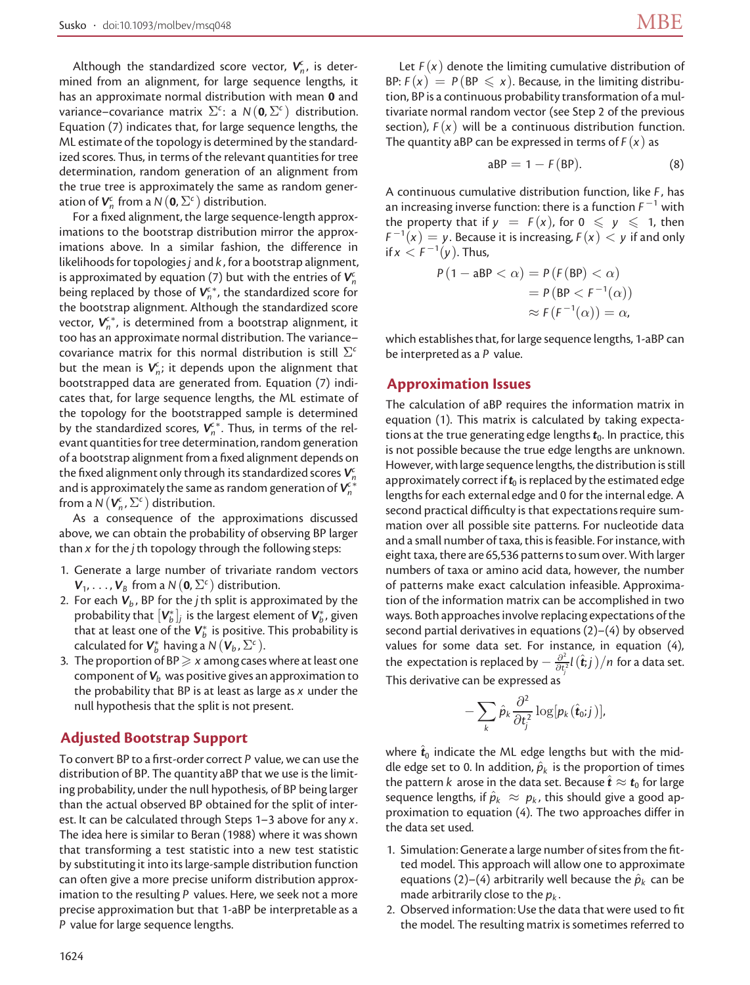Although the standardized score vector,  $V_n^c$ , is determined from an alignment, for large sequence lengths, it has an approximate normal distribution with mean **0** and variance–covariance matrix <sup>Σ</sup>*<sup>c</sup>* : a *<sup>N</sup>*(**0**, Σ*<sup>c</sup>* ) distribution. Equation (7) indicates that, for large sequence lengths, the ML estimate of the topology is determined by the standardized scores. Thus, in terms of the relevant quantities for tree determination, random generation of an alignment from the true tree is approximately the same as random generation of  $V_n^c$  from a  $N(\mathbf{0}, \Sigma^c)$  distribution.<br>For a fixed alignment, the large sequen

For a fixed alignment, the large sequence-length approximations to the bootstrap distribution mirror the approximations above. In a similar fashion, the difference in likelihoods for topologies*j* and *k* , for a bootstrap alignment, is approximated by equation (7) but with the entries of  $V_n^c$ being replaced by those of  $V_n^c$ , the standardized score for the bootstrap alignment. Although the standardized score vector,  $V_n^c$ <sup>\*</sup>, is determined from a bootstrap alignment, it too has an approximate normal distribution. The variance– covariance matrix for this normal distribution is still Σ*<sup>c</sup>* but the mean is  $V_n^c$ ; it depends upon the alignment that bootstrapped data are generated from. Equation (7) indicates that, for large sequence lengths, the ML estimate of the topology for the bootstrapped sample is determined by the standardized scores,  $V_n^c$ . Thus, in terms of the relevant quantities for tree determination, random generation of a bootstrap alignment from a fixed alignment depends on the fixed alignment only through its standardized scores  $\boldsymbol{V}^c_n$ and is approximately the same as random generation of  $\boldsymbol{V}^{c^*_{n}}_{n}$ from a  $N(\mathbf{V}_n^c, \Sigma^c)$  distribution.<br>As a consequence of the

As a consequence of the approximations discussed above, we can obtain the probability of observing BP larger than *x* for the *j*th topology through the following steps:

- 1. Generate a large number of trivariate random vectors *V*<sub>1</sub>, ..., *V*<sub>*B*</sub> from a *N*( $\mathbf{0}$ ,  $\Sigma^c$ ) distribution.<br>For each *V*<sub>b</sub>, BP for the *i* th split is appro
- 2. For each  $V_b$ , BP for the *j* th split is approximated by the probability that  $[V_b^*]_j$  is the largest element of  $V_b^*$ , given that at least one of the  $V_i^*$  is positive. This probability is that at least one of the  $\boldsymbol{V}^*_b$  is positive. This probability is  $\mathsf{calculated}\ \mathsf{for}\ \mathsf{V}^*_b\ \mathsf{having}\ \mathsf{a}\ N\big(\mathsf{V}_b,\Sigma^c\big).$  The proportion of BP  $\geq x$  among cases
- 3. The proportion of  $BP \geq x$  among cases where at least one component of *V<sup>b</sup>* was positive gives an approximation to the probability that BP is at least as large as *x* under the null hypothesis that the split is not present.

## **Adjusted Bootstrap Support**

To convert BP to a first-order correct *P* value, we can use the distribution of BP. The quantity aBP that we use is the limiting probability, under the null hypothesis, of BP being larger than the actual observed BP obtained for the split of interest. It can be calculated through Steps 1–3 above for any *x* . The idea here is similar to Beran (1988) where it was shown that transforming a test statistic into a new test statistic by substituting it into its large-sample distribution function can often give a more precise uniform distribution approximation to the resulting *P* values. Here, we seek not a more precise approximation but that 1-aBP be interpretable as a *P* value for large sequence lengths.

Let  $F(x)$  denote the limiting cumulative distribution of  $BP: F(x) = P(BP \leq x)$ . Because, in the limiting distribu-<br>tion. BP is a continuous probability transformation of a multion, BP is a continuous probability transformation of a multivariate normal random vector (see Step 2 of the previous section),  $F(x)$  will be a continuous distribution function. The quantity aBP can be expressed in terms of  $F(x)$  as

$$
aBP = 1 - F(BP). \tag{8}
$$

A continuous cumulative distribution function, like *F* , has an increasing inverse function: there is a function *F* <sup>−</sup><sup>1</sup> with the property that if  $y = F(x)$ , for  $0 \le y \le 1$ , then  $F^{-1}(x) = y$ . Because it is increasing.  $F(x) < y$  if and only  $F^{-1}(x) = y$ . Because it is increasing,  $F(x) < y$  if and only if  $x < F^{-1}(y)$ . Thus, if *x* <  $F^{-1}(y)$ . Thus,

$$
P(1 - aBP < \alpha) = P(F(BP) < \alpha) \\
= P(BP < F^{-1}(\alpha)) \\
\approx F(F^{-1}(\alpha)) = \alpha,
$$

which establishes that, for large sequence lengths, 1-aBP can be interpreted as a *P* value.

#### **Approximation Issues**

The calculation of aBP requires the information matrix in equation (1). This matrix is calculated by taking expectations at the true generating edge lengths  $t_0$ . In practice, this is not possible because the true edge lengths are unknown. However, with large sequence lengths, the distribution is still approximately correct if  $t_0$  is replaced by the estimated edge lengths for each external edge and 0 for the internal edge. A second practical difficulty is that expectations require summation over all possible site patterns. For nucleotide data and a small number of taxa, this is feasible. For instance, with eight taxa, there are 65,536 patterns to sum over. With larger numbers of taxa or amino acid data, however, the number of patterns make exact calculation infeasible. Approximation of the information matrix can be accomplished in two ways. Both approaches involve replacing expectations of the second partial derivatives in equations (2)–(4) by observed values for some data set. For instance, in equation (4), the expectation is replaced by  $-\frac{\partial^2}{\partial t_j^2}l(\hat{\bf{t}};j)/n$  for a data set.<br>This devicative are be surveyed as This derivative can be expressed as

$$
-\sum_{k}\hat{p}_{k}\frac{\partial^{2}}{\partial t_{j}^{2}}\log[p_{k}(\hat{\boldsymbol{t}}_{0};j)],
$$

where  $\hat{t}_0$  indicate the ML edge lengths but with the middle edge set to 0. In addition,  $\hat{p}_k$  is the proportion of times the pattern  $k$  arose in the data set. Because  $\hat{\boldsymbol{t}} \approx \boldsymbol{t}_0$  for large sequence lengths, if  $\hat{p}_k \approx p_k$ , this should give a good approximation to equation (4). The two approaches differ in the data set used.

- 1. Simulation: Generate a large number of sites from the fitted model. This approach will allow one to approximate equations (2)–(4) arbitrarily well because the  $\hat{p}_k$  can be made arbitrarily close to the  $p_k$ .
- 2. Observed information:Use the data that were used to fit the model. The resulting matrix is sometimes referred to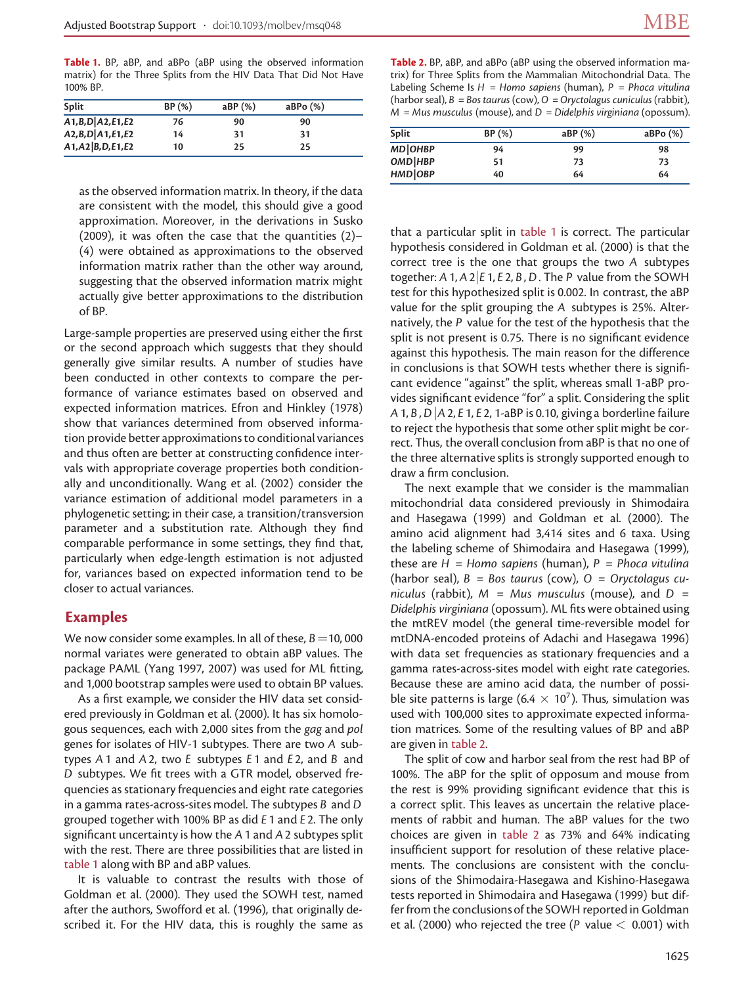**Table 1.** BP, aBP, and aBPo (aBP using the observed information matrix) for the Three Splits from the HIV Data That Did Not Have 100% BP.

| Split                 | BP(%) | aBP(%) | aBPo(%) |  |
|-----------------------|-------|--------|---------|--|
| A1,B,D A2,E1,E2       | 76    | 90     | 90      |  |
| A2,B,D A1,E1,E2       | 14    | 31     | 31      |  |
| A1, A2   B, D, E1, E2 | 10    | 25     | 25      |  |

as the observed information matrix. In theory, if the data are consistent with the model, this should give a good approximation. Moreover, in the derivations in Susko (2009), it was often the case that the quantities  $(2)$ – (4) were obtained as approximations to the observed information matrix rather than the other way around, suggesting that the observed information matrix might actually give better approximations to the distribution of BP.

Large-sample properties are preserved using either the first or the second approach which suggests that they should generally give similar results. A number of studies have been conducted in other contexts to compare the performance of variance estimates based on observed and expected information matrices. Efron and Hinkley (1978) show that variances determined from observed information provide better approximations to conditional variances and thus often are better at constructing confidence intervals with appropriate coverage properties both conditionally and unconditionally. Wang et al. (2002) consider the variance estimation of additional model parameters in a phylogenetic setting; in their case, a transition/transversion parameter and a substitution rate. Although they find comparable performance in some settings, they find that, particularly when edge-length estimation is not adjusted for, variances based on expected information tend to be closer to actual variances.

#### **Examples**

We now consider some examples. In all of these,  $B=10,000$ normal variates were generated to obtain aBP values. The package PAML (Yang 1997, 2007) was used for ML fitting, and 1,000 bootstrap samples were used to obtain BP values.

As a first example, we consider the HIV data set considered previously in Goldman et al. (2000). It has six homologous sequences, each with 2,000 sites from the *gag* and *pol* genes for isolates of HIV-1 subtypes. There are two *A* subtypes *A*1 and *A*2, two *E* subtypes *E* 1 and *E* 2, and *B* and *D* subtypes. We fit trees with a GTR model, observed frequencies as stationary frequencies and eight rate categories in a gamma rates-across-sites model. The subtypes *B* and *D* grouped together with 100% BP as did *E* 1 and *E* 2. The only significant uncertainty is how the *A*1 and *A*2 subtypes split with the rest. There are three possibilities that are listed in table 1 along with BP and aBP values.

It is valuable to contrast the results with those of Goldman et al. (2000). They used the SOWH test, named after the authors, Swofford et al. (1996), that originally described it. For the HIV data, this is roughly the same as

**Table 2.** BP, aBP, and aBPo (aBP using the observed information matrix) for Three Splits from the Mammalian Mitochondrial Data. The Labeling Scheme Is *H* = *Homo sapiens* (human), *P* = *Phoca vitulina* (harbor seal), *B* = *Bos taurus* (cow), *O* =*Oryctolagus cuniculus* (rabbit), *M* = *Mus musculus* (mouse), and *D* = *Didelphis virginiana* (opossum).

| <b>Split</b> | BP(%) | aBP(%) | aBPo(%) |  |  |
|--------------|-------|--------|---------|--|--|
| MD OHBP      | 94    | 99     | 98      |  |  |
| OMD   HBP    | 51    | 73     | 73      |  |  |
| HMD OBP      | 40    | 64     | 64      |  |  |

that a particular split in table 1 is correct. The particular hypothesis considered in Goldman et al. (2000) is that the correct tree is the one that groups the two *A* subtypes together: *A*1, *A*2|*E* 1, *E* 2, *B* , *D*. The *P* value from the SOWH test for this hypothesized split is 0.002. In contrast, the aBP value for the split grouping the *A* subtypes is 25%. Alternatively, the *P* value for the test of the hypothesis that the split is not present is 0.75. There is no significant evidence against this hypothesis. The main reason for the difference in conclusions is that SOWH tests whether there is significant evidence "against" the split, whereas small 1-aBP provides significant evidence "for" a split. Considering the split *A*1, *B* , *D*|*A*2, *E* 1, *E* 2, 1-aBP is 0.10, giving a borderline failure to reject the hypothesis that some other split might be correct. Thus, the overall conclusion from aBP is that no one of the three alternative splits is strongly supported enough to draw a firm conclusion.

The next example that we consider is the mammalian mitochondrial data considered previously in Shimodaira and Hasegawa (1999) and Goldman et al. (2000). The amino acid alignment had 3,414 sites and 6 taxa. Using the labeling scheme of Shimodaira and Hasegawa (1999), these are  $H =$  *Homo sapiens* (human),  $P =$  *Phoca vitulina* (harbor seal), *B* = *Bos taurus* (cow), *O* = *Oryctolagus cuniculus* (rabbit), *M* = *Mus musculus* (mouse), and *D* = *Didelphis virginiana* (opossum). ML fits were obtained using the mtREV model (the general time-reversible model for mtDNA-encoded proteins of Adachi and Hasegawa 1996) with data set frequencies as stationary frequencies and a gamma rates-across-sites model with eight rate categories. Because these are amino acid data, the number of possible site patterns is large (6.4  $\times$  10<sup>7</sup>). Thus, simulation was used with 100,000 sites to approximate expected information matrices. Some of the resulting values of BP and aBP are given in table 2.

The split of cow and harbor seal from the rest had BP of 100%. The aBP for the split of opposum and mouse from the rest is 99% providing significant evidence that this is a correct split. This leaves as uncertain the relative placements of rabbit and human. The aBP values for the two choices are given in table 2 as 73% and 64% indicating insufficient support for resolution of these relative placements. The conclusions are consistent with the conclusions of the Shimodaira-Hasegawa and Kishino-Hasegawa tests reported in Shimodaira and Hasegawa (1999) but differ from the conclusions of the SOWH reported in Goldman et al. (2000) who rejected the tree ( $P$  value  $<$  0.001) with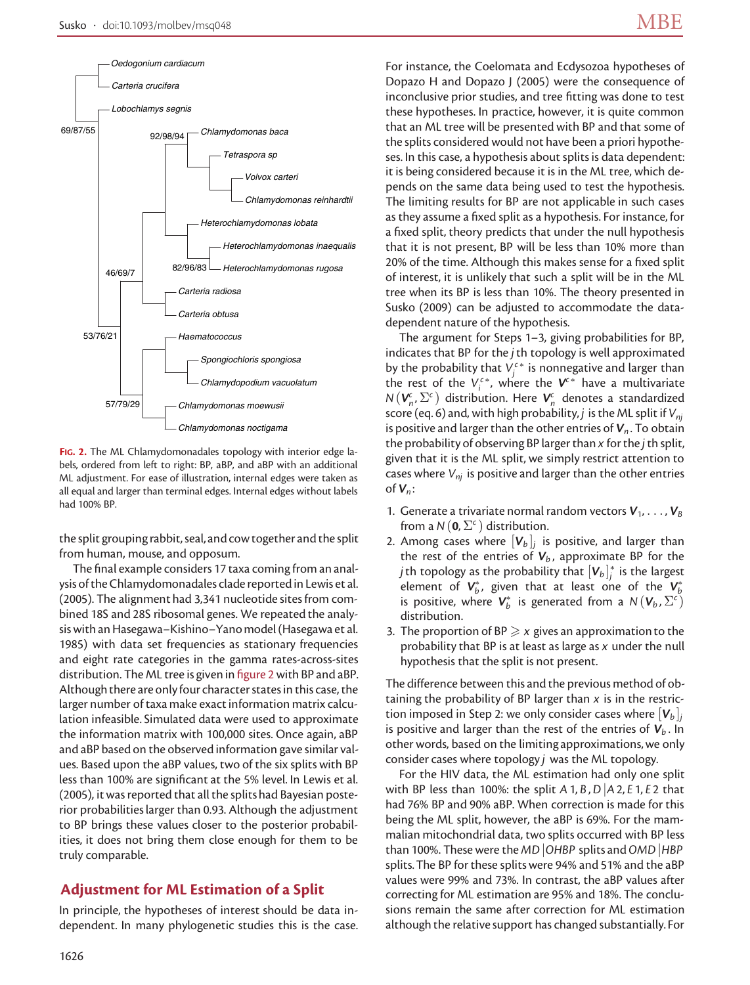

**FIG. 2.** The ML Chlamydomonadales topology with interior edge labels, ordered from left to right: BP, aBP, and aBP with an additional ML adjustment. For ease of illustration, internal edges were taken as all equal and larger than terminal edges. Internal edges without labels had 100% BP.

the split grouping rabbit, seal, and cow together and the split from human, mouse, and opposum.

The final example considers 17 taxa coming from an analysis of the Chlamydomonadales clade reported in Lewis et al. (2005). The alignment had 3,341 nucleotide sites from combined 18S and 28S ribosomal genes. We repeated the analysis with an Hasegawa–Kishino–Yanomodel (Hasegawa et al. 1985) with data set frequencies as stationary frequencies and eight rate categories in the gamma rates-across-sites distribution. The ML tree is given in figure 2 with BP and aBP. Although there are onlyfour character states in this case, the larger number of taxa make exact information matrix calculation infeasible. Simulated data were used to approximate the information matrix with 100,000 sites. Once again, aBP and aBP based on the observed information gave similar values. Based upon the aBP values, two of the six splits with BP less than 100% are significant at the 5% level. In Lewis et al. (2005), it was reported that all the splits had Bayesian posterior probabilities larger than 0.93. Although the adjustment to BP brings these values closer to the posterior probabilities, it does not bring them close enough for them to be truly comparable.

# **Adjustment for ML Estimation of a Split**

In principle, the hypotheses of interest should be data independent. In many phylogenetic studies this is the case. For instance, the Coelomata and Ecdysozoa hypotheses of Dopazo H and Dopazo J (2005) were the consequence of inconclusive prior studies, and tree fitting was done to test these hypotheses. In practice, however, it is quite common that an ML tree will be presented with BP and that some of the splits considered would not have been a priori hypotheses. In this case, a hypothesis about splits is data dependent: it is being considered because it is in the ML tree, which depends on the same data being used to test the hypothesis. The limiting results for BP are not applicable in such cases as they assume a fixed split as a hypothesis. For instance, for a fixed split, theory predicts that under the null hypothesis that it is not present, BP will be less than 10% more than 20% of the time. Although this makes sense for a fixed split of interest, it is unlikely that such a split will be in the ML tree when its BP is less than 10%. The theory presented in Susko (2009) can be adjusted to accommodate the datadependent nature of the hypothesis.

The argument for Steps 1–3, giving probabilities for BP, indicates that BP for the *j*th topology is well approximated by the probability that  $V_j^{c*}$  is nonnegative and larger than the rest of the  $V_i^{c*}$ , where the  $V^{c*}$  have a multivariate *N*( $V_n^c, \Sigma^c$ ) distribution. Here  $V_n^c$  denotes a standardized score (eq. 6) and, with high probability, *i* is the MI split if  $V_n$ score (eq. 6) and, with high probability, *j* is the ML split if *Vnj* is positive and larger than the other entries of  $V_n$ . To obtain the probability of observing BP larger than *x* for the *j*th split, given that it is the ML split, we simply restrict attention to cases where  $V_{ni}$  is positive and larger than the other entries of  $V_n$ :

- 1. Generate a trivariate normal random vectors  $V_1, \ldots, V_B$ from a  $N(\mathbf{0}, \Sigma^c)$  distribution.
- 2. Among cases where  $[V_b]_i$  is positive, and larger than the rest of the entries of  $V_b$ , approximate BP for the *j* th topology as the probability that  $[V_b]_j^*$  is the largest element of  $V^*$ , given that at least one of the  $V^*$ element of  $V_b^*$ , given that at least one of the  $V_b^*$ is positive, where  $V_b^*$  is generated from a  $N(V_b, \Sigma^c)$ <br>distribution distribution.
- 3. The proportion of  $BP \geq x$  gives an approximation to the probability that BP is at least as large as *x* under the null hypothesis that the split is not present.

The difference between this and the previous method of obtaining the probability of BP larger than *x* is in the restriction imposed in Step 2: we only consider cases where  $[\mathbf{V}_b]_i$ is positive and larger than the rest of the entries of  $V_b$ . In other words, based on the limiting approximations,we only consider cases where topology *j* was the ML topology.

For the HIV data, the ML estimation had only one split with BP less than 100%: the split *A*1, *B* , *D*|*A*2, *E* 1, *E* 2 that had 76% BP and 90% aBP. When correction is made for this being the ML split, however, the aBP is 69%. For the mammalian mitochondrial data, two splits occurred with BP less than 100%. These were the *MD*|*OHBP* splits and*OMD*|*HBP* splits. The BP for these splits were 94% and 51% and the aBP values were 99% and 73%. In contrast, the aBP values after correcting for ML estimation are 95% and 18%. The conclusions remain the same after correction for ML estimation although the relative support has changed substantially. For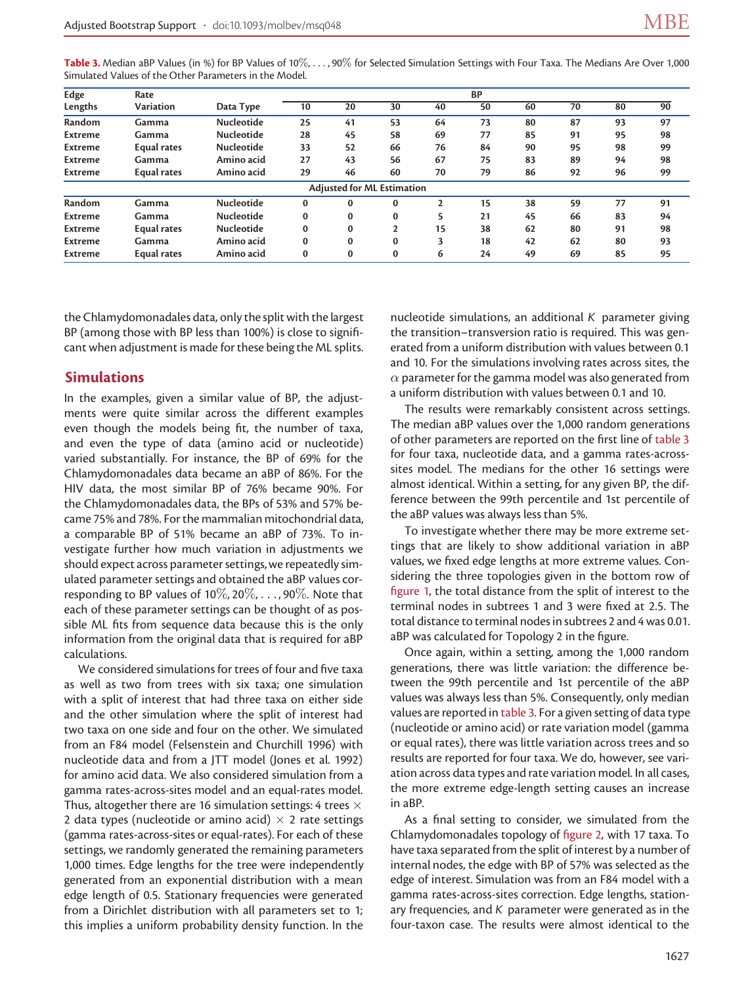| Edge                              | Rate        |                   | <b>BP</b> |          |          |    |    |    |    |    |    |
|-----------------------------------|-------------|-------------------|-----------|----------|----------|----|----|----|----|----|----|
| Lengths                           | Variation   | Data Type         | 10        | 20       | 30       | 40 | 50 | 60 | 70 | 80 | 90 |
| Random                            | Gamma       | Nucleotide        | 25        | 41       | 53       | 64 | 73 | 80 | 87 | 93 | 97 |
| <b>Extreme</b>                    | Gamma       | <b>Nucleotide</b> | 28        | 45       | 58       | 69 | 77 | 85 | 91 | 95 | 98 |
| <b>Extreme</b>                    | Equal rates | <b>Nucleotide</b> | 33        | 52       | 66       | 76 | 84 | 90 | 95 | 98 | 99 |
| <b>Extreme</b>                    | Gamma       | Amino acid        | 27        | 43       | 56       | 67 | 75 | 83 | 89 | 94 | 98 |
| <b>Extreme</b>                    | Equal rates | Amino acid        | 29        | 46       | 60       | 70 | 79 | 86 | 92 | 96 | 99 |
| <b>Adjusted for ML Estimation</b> |             |                   |           |          |          |    |    |    |    |    |    |
| Random                            | Gamma       | <b>Nucleotide</b> | $\bf{0}$  | $\bf{0}$ | $\bf{0}$ | 2  | 15 | 38 | 59 | 77 | 91 |
| <b>Extreme</b>                    | Gamma       | <b>Nucleotide</b> | $\bf{0}$  | $\bf{0}$ | $\bf{0}$ |    | 21 | 45 | 66 | 83 | 94 |
| <b>Extreme</b>                    | Equal rates | <b>Nucleotide</b> | 0         | $\bf{0}$ | っ        | 15 | 38 | 62 | 80 | 91 | 98 |
| <b>Extreme</b>                    | Gamma       | Amino acid        | $\bf{0}$  | $\bf{0}$ | $\bf{0}$ | 3  | 18 | 42 | 62 | 80 | 93 |
| <b>Extreme</b>                    | Equal rates | Amino acid        | $\bf{0}$  | $\bf{0}$ | 0        | 6  | 24 | 49 | 69 | 85 | 95 |

**Table 3.** Median aBP Values (in %) for BP Values of 10%, ... , 90% for Selected Simulation Settings with Four Taxa. The Medians Are Over 1,000 Simulated Values of the Other Parameters in the Model.

the Chlamydomonadales data, only the split with the largest BP (among those with BP less than 100%) is close to significant when adjustment is made for these being the ML splits.

## **Simulations**

In the examples, given a similar value of BP, the adjustments were quite similar across the different examples even though the models being fit, the number of taxa, and even the type of data (amino acid or nucleotide) varied substantially. For instance, the BP of 69% for the Chlamydomonadales data became an aBP of 86%. For the HIV data, the most similar BP of 76% became 90%. For the Chlamydomonadales data, the BPs of 53% and 57% became 75% and 78%. For the mammalian mitochondrial data, a comparable BP of 51% became an aBP of 73%. To investigate further how much variation in adjustments we should expect across parameter settings, we repeatedly simulated parameter settings and obtained the aBP values corresponding to BP values of  $10\%$ ,  $20\%$ ,  $\ldots$ ,  $90\%$ . Note that each of these parameter settings can be thought of as possible ML fits from sequence data because this is the only information from the original data that is required for aBP calculations.

We considered simulations for trees of four and five taxa as well as two from trees with six taxa; one simulation with a split of interest that had three taxa on either side and the other simulation where the split of interest had two taxa on one side and four on the other. We simulated from an F84 model (Felsenstein and Churchill 1996) with nucleotide data and from a JTT model (Jones et al. 1992) for amino acid data. We also considered simulation from a gamma rates-across-sites model and an equal-rates model. Thus, altogether there are 16 simulation settings: 4 trees  $\times$ 2 data types (nucleotide or amino acid)  $\times$  2 rate settings (gamma rates-across-sites or equal-rates). For each of these settings, we randomly generated the remaining parameters 1,000 times. Edge lengths for the tree were independently generated from an exponential distribution with a mean edge length of 0.5. Stationary frequencies were generated from a Dirichlet distribution with all parameters set to 1; this implies a uniform probability density function. In the

nucleotide simulations, an additional *K* parameter giving the transition–transversion ratio is required. This was generated from a uniform distribution with values between 0.1 and 10. For the simulations involving rates across sites, the  $\alpha$  parameter for the gamma model was also generated from a uniform distribution with values between 0.1 and 10.

The results were remarkably consistent across settings. The median aBP values over the 1,000 random generations of other parameters are reported on the first line of table 3 for four taxa, nucleotide data, and a gamma rates-acrosssites model. The medians for the other 16 settings were almost identical. Within a setting, for any given BP, the difference between the 99th percentile and 1st percentile of the aBP values was always less than 5%.

To investigate whether there may be more extreme settings that are likely to show additional variation in aBP values, we fixed edge lengths at more extreme values. Considering the three topologies given in the bottom row of figure 1, the total distance from the split of interest to the terminal nodes in subtrees 1 and 3 were fixed at 2.5. The total distance to terminal nodes in subtrees 2 and 4 was 0.01. aBP was calculated for Topology 2 in the figure.

Once again, within a setting, among the 1,000 random generations, there was little variation: the difference between the 99th percentile and 1st percentile of the aBP values was always less than 5%. Consequently, only median values are reported in table 3. For a given setting of data type (nucleotide or amino acid) or rate variation model (gamma or equal rates), there was little variation across trees and so results are reported for four taxa. We do, however, see variation across data types and rate variation model. In all cases, the more extreme edge-length setting causes an increase in aBP.

As a final setting to consider, we simulated from the Chlamydomonadales topology of figure 2, with 17 taxa. To have taxa separated from the split of interest by a number of internal nodes, the edge with BP of 57% was selected as the edge of interest. Simulation was from an F84 model with a gamma rates-across-sites correction. Edge lengths, stationary frequencies, and *K* parameter were generated as in the four-taxon case. The results were almost identical to the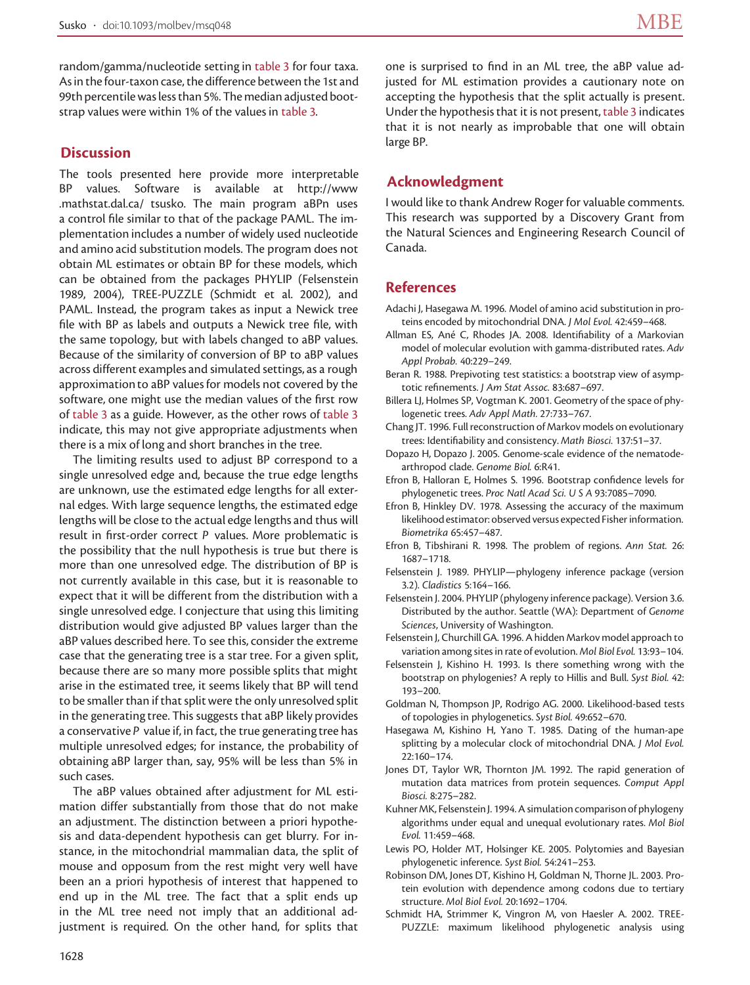random/gamma/nucleotide setting in table 3 for four taxa. As in the four-taxon case, the difference between the 1st and 99th percentile was less than 5%. The median adjusted bootstrap values were within 1% of the values in table 3.

# **Discussion**

The tools presented here provide more interpretable BP values. Software is available at http://www .mathstat.dal.ca/ tsusko. The main program aBPn uses a control file similar to that of the package PAML. The implementation includes a number of widely used nucleotide and amino acid substitution models. The program does not obtain ML estimates or obtain BP for these models, which can be obtained from the packages PHYLIP (Felsenstein 1989, 2004), TREE-PUZZLE (Schmidt et al. 2002), and PAML. Instead, the program takes as input a Newick tree file with BP as labels and outputs a Newick tree file, with the same topology, but with labels changed to aBP values. Because of the similarity of conversion of BP to aBP values across different examples and simulated settings, as a rough approximation to aBP values for models not covered by the software, one might use the median values of the first row of table 3 as a guide. However, as the other rows of table 3 indicate, this may not give appropriate adjustments when there is a mix of long and short branches in the tree.

The limiting results used to adjust BP correspond to a single unresolved edge and, because the true edge lengths are unknown, use the estimated edge lengths for all external edges. With large sequence lengths, the estimated edge lengths will be close to the actual edge lengths and thus will result in first-order correct *P* values. More problematic is the possibility that the null hypothesis is true but there is more than one unresolved edge. The distribution of BP is not currently available in this case, but it is reasonable to expect that it will be different from the distribution with a single unresolved edge. I conjecture that using this limiting distribution would give adjusted BP values larger than the aBP values described here. To see this, consider the extreme case that the generating tree is a star tree. For a given split, because there are so many more possible splits that might arise in the estimated tree, it seems likely that BP will tend to be smaller than if that split were the only unresolved split in the generating tree. This suggests that aBP likely provides a conservative *P* value if, in fact, the true generating tree has multiple unresolved edges; for instance, the probability of obtaining aBP larger than, say, 95% will be less than 5% in such cases.

The aBP values obtained after adjustment for ML estimation differ substantially from those that do not make an adjustment. The distinction between a priori hypothesis and data-dependent hypothesis can get blurry. For instance, in the mitochondrial mammalian data, the split of mouse and opposum from the rest might very well have been an a priori hypothesis of interest that happened to end up in the ML tree. The fact that a split ends up in the ML tree need not imply that an additional adjustment is required. On the other hand, for splits that one is surprised to find in an ML tree, the aBP value adjusted for ML estimation provides a cautionary note on accepting the hypothesis that the split actually is present. Under the hypothesis that it is not present, table 3 indicates that it is not nearly as improbable that one will obtain large BP.

## **Acknowledgment**

I would like to thank Andrew Roger for valuable comments. This research was supported by a Discovery Grant from the Natural Sciences and Engineering Research Council of Canada.

#### **References**

- Adachi J, Hasegawa M. 1996. Model of amino acid substitution in proteins encoded by mitochondrial DNA. *J Mol Evol.* 42:459–468.
- Allman ES, Ané C, Rhodes JA. 2008. Identifiability of a Markovian model of molecular evolution with gamma-distributed rates. *Adv Appl Probab.* 40:229–249.
- Beran R. 1988. Prepivoting test statistics: a bootstrap view of asymptotic refinements. *J Am Stat Assoc.* 83:687–697.
- Billera LJ, Holmes SP, Vogtman K. 2001. Geometry of the space of phylogenetic trees. *Adv Appl Math.* 27:733–767.
- Chang JT. 1996. Full reconstruction of Markov models on evolutionary trees: Identifiability and consistency. *Math Biosci.* 137:51–37.
- Dopazo H, Dopazo J. 2005. Genome-scale evidence of the nematodearthropod clade. *Genome Biol.* 6:R41.
- Efron B, Halloran E, Holmes S. 1996. Bootstrap confidence levels for phylogenetic trees. *Proc Natl Acad Sci. U S A* 93:7085–7090.
- Efron B, Hinkley DV. 1978. Assessing the accuracy of the maximum likelihood estimator: observed versus expected Fisher information. *Biometrika* 65:457–487.
- Efron B, Tibshirani R. 1998. The problem of regions. *Ann Stat.* 26: 1687–1718.
- Felsenstein J. 1989. PHYLIP—phylogeny inference package (version 3.2). *Cladistics* 5:164–166.
- Felsenstein J. 2004. PHYLIP (phylogeny inference package). Version 3.6. Distributed by the author. Seattle (WA): Department of *Genome Sciences*, University of Washington.
- Felsenstein J, Churchill GA. 1996. A hidden Markov model approach to variation among sites in rate of evolution. *Mol Biol Evol.* 13:93–104.
- Felsenstein J, Kishino H. 1993. Is there something wrong with the bootstrap on phylogenies? A reply to Hillis and Bull. *Syst Biol.* 42: 193–200.
- Goldman N, Thompson JP, Rodrigo AG. 2000. Likelihood-based tests of topologies in phylogenetics. *Syst Biol.* 49:652–670.
- Hasegawa M, Kishino H, Yano T. 1985. Dating of the human-ape splitting by a molecular clock of mitochondrial DNA. *J Mol Evol.* 22:160–174.
- Jones DT, Taylor WR, Thornton JM. 1992. The rapid generation of mutation data matrices from protein sequences. *Comput Appl Biosci.* 8:275–282.
- Kuhner MK, Felsenstein J. 1994. A simulation comparison of phylogeny algorithms under equal and unequal evolutionary rates. *Mol Biol Evol.* 11:459–468.
- Lewis PO, Holder MT, Holsinger KE. 2005. Polytomies and Bayesian phylogenetic inference. *Syst Biol.* 54:241–253.
- Robinson DM, Jones DT, Kishino H, Goldman N, Thorne JL. 2003. Protein evolution with dependence among codons due to tertiary structure. *Mol Biol Evol.* 20:1692–1704.
- Schmidt HA, Strimmer K, Vingron M, von Haesler A. 2002. TREE-PUZZLE: maximum likelihood phylogenetic analysis using